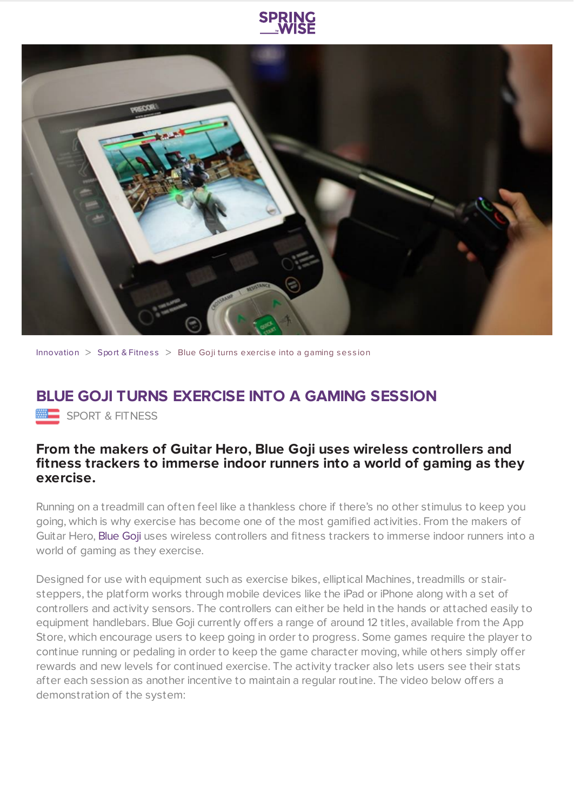

[Innovation](https://www.springwise.com/search?type=innovation)  $>$  Sport & [Fitnes](https://www.springwise.com/search?type=innovation§or=sport-fitness)s  $>$  Blue Goii turns exercise into a gaming session

## **BLUE GOJI TURNS EXERCISE INTO A GAMING SESSION**

**EEE** SPORT & FITNESS

## **From the makers of Guitar Hero, Blue Goji uses wireless controllers and fitness trackers to immerse indoor runners into a world of gaming as they exercise.**

Running on a treadmill can often feel like a thankless chore if there's no other stimulus to keep you going, which is why exercise has become one of the most gamified activities. From the makers of Guitar Hero, [Blue](http://www.bluegoji.com/) Goji uses wireless controllers and fitness trackers to immerse indoor runners into a world of gaming as they exercise.

Designed for use with equipment such as exercise bikes, elliptical Machines, treadmills or stairsteppers, the platform works through mobile devices like the iPad or iPhone along with a set of controllers and activity sensors. The controllers can either be held in the hands or attached easily to equipment handlebars. Blue Goji currently offers a range of around 12 titles, available from the App Store, which encourage users to keep going in order to progress. Some games require the player to continue running or pedaling in order to keep the game character moving, while others simply offer rewards and new levels for continued exercise. The activity tracker also lets users see their stats after each session as another incentive to maintain a regular routine. The video below offers a demonstration of the system: